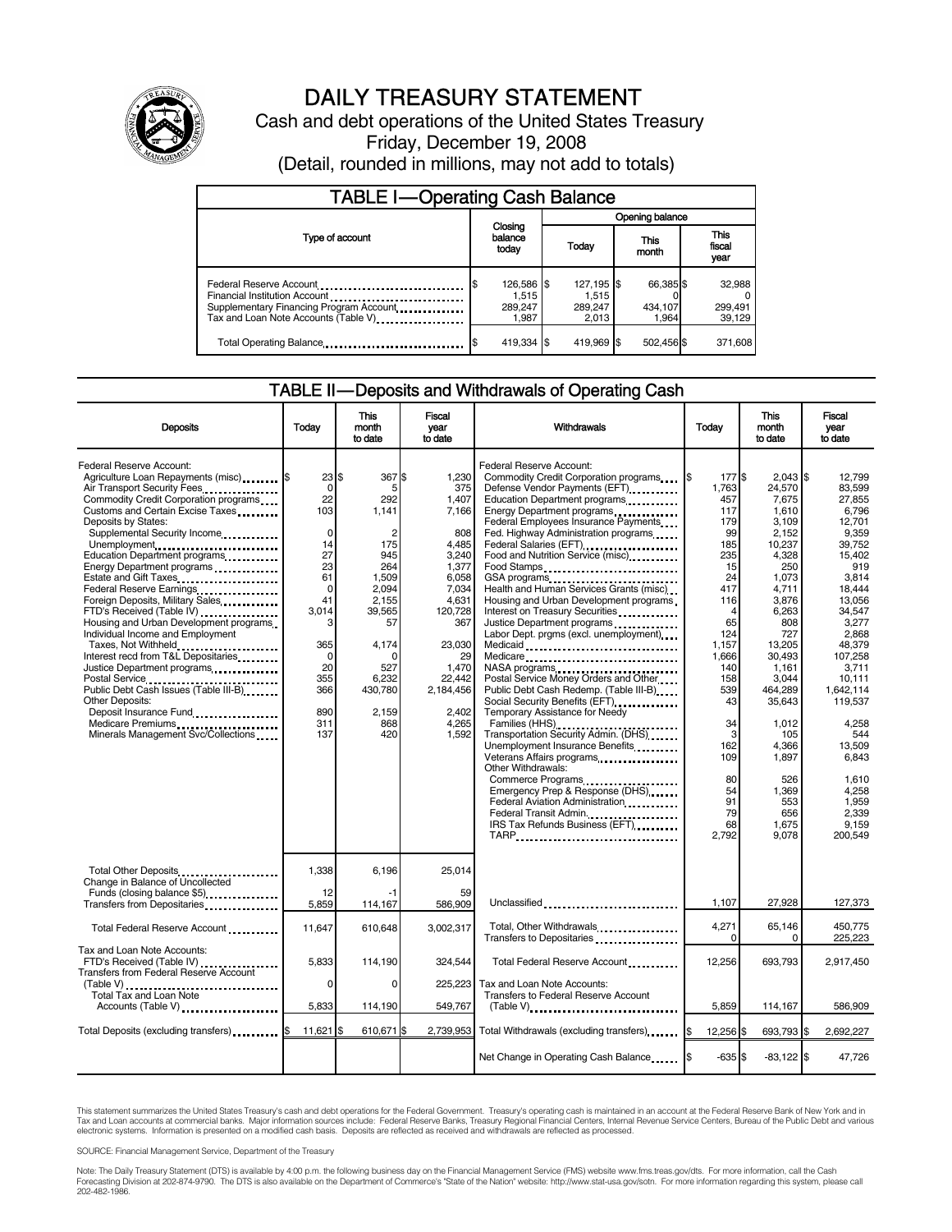

# DAILY TREASURY STATEMENT

Cash and debt operations of the United States Treasury Friday, December 19, 2008

| <b>TABLE I-Operating Cash Balance</b>                                                                            |                             |                                         |  |                                         |  |                               |  |                               |
|------------------------------------------------------------------------------------------------------------------|-----------------------------|-----------------------------------------|--|-----------------------------------------|--|-------------------------------|--|-------------------------------|
|                                                                                                                  |                             |                                         |  | Opening balance                         |  |                               |  |                               |
| Type of account                                                                                                  | Closing<br>balance<br>today |                                         |  | Today                                   |  | This<br>month                 |  | <b>This</b><br>fiscal<br>year |
| Financial Institution Account<br>Supplementary Financing Program Account<br>Tax and Loan Note Accounts (Table V) |                             | 126,586 \$<br>1.515<br>289,247<br>1.987 |  | 127,195 \$<br>1.515<br>289,247<br>2.013 |  | 66,385 \$<br>434,107<br>1.964 |  | 32,988<br>299,491<br>39,129   |
| Total Operating Balance                                                                                          |                             | 419,334 \$                              |  | 419,969 \$                              |  | 502,456 \$                    |  | 371,608                       |

### TABLE II — Deposits and Withdrawals of Operating Cash

| <b>Deposits</b>                                                                                                                                                                                                                                                                                                                                                                                                                                                                                                                                                                                                                                                                                                                                                                   | Todav                                                                                                                                                | This<br>month<br>to date                                                                                                                                                      | Fiscal<br>year<br>to date                                                                                                                                                                | Withdrawals                                                                                                                                                                                                                                                                                                                                                                                                                                                                                                                                                                                                                                                                                                                                                                                                                                                                                                                                                                      | Today                                                                                                                                                                                                                         | This<br>month<br>to date                                                                                                                                                                                                                                                          | Fiscal<br>vear<br>to date                                                                                                                                                                                                                                                                             |
|-----------------------------------------------------------------------------------------------------------------------------------------------------------------------------------------------------------------------------------------------------------------------------------------------------------------------------------------------------------------------------------------------------------------------------------------------------------------------------------------------------------------------------------------------------------------------------------------------------------------------------------------------------------------------------------------------------------------------------------------------------------------------------------|------------------------------------------------------------------------------------------------------------------------------------------------------|-------------------------------------------------------------------------------------------------------------------------------------------------------------------------------|------------------------------------------------------------------------------------------------------------------------------------------------------------------------------------------|----------------------------------------------------------------------------------------------------------------------------------------------------------------------------------------------------------------------------------------------------------------------------------------------------------------------------------------------------------------------------------------------------------------------------------------------------------------------------------------------------------------------------------------------------------------------------------------------------------------------------------------------------------------------------------------------------------------------------------------------------------------------------------------------------------------------------------------------------------------------------------------------------------------------------------------------------------------------------------|-------------------------------------------------------------------------------------------------------------------------------------------------------------------------------------------------------------------------------|-----------------------------------------------------------------------------------------------------------------------------------------------------------------------------------------------------------------------------------------------------------------------------------|-------------------------------------------------------------------------------------------------------------------------------------------------------------------------------------------------------------------------------------------------------------------------------------------------------|
| Federal Reserve Account:<br>Agriculture Loan Repayments (misc) \$<br>Air Transport Security Fees<br>Commodity Credit Corporation programs<br>Customs and Certain Excise Taxes<br>Deposits by States:<br>Supplemental Security Income<br>Unemployment<br>Education Department programs<br>Energy Department programs<br>Estate and Gift Taxes<br><br>Federal Reserve Earnings<br>Foreign Deposits, Military Sales<br>FTD's Received (Table IV)<br>Housing and Urban Development programs<br>Individual Income and Employment<br>Taxes, Not Withheld<br>Interest recd from T&L Depositaries<br>Justice Department programs<br>Public Debt Cash Issues (Table III-B)<br><b>Other Deposits:</b><br>Deposit Insurance Fund<br>Medicare Premiums<br>Minerals Management Svc/Collections | 23S<br>$\mathbf 0$<br>22<br>103<br>0<br>14<br>27<br>23<br>61<br>$\mathbf 0$<br>41<br>3,014<br>3<br>365<br>0<br>20<br>355<br>366<br>890<br>311<br>137 | 367 \$<br>5<br>292<br>1.141<br>$\overline{2}$<br>175<br>945<br>264<br>1,509<br>2,094<br>2.155<br>39,565<br>57<br>4.174<br>∩<br>527<br>6.232<br>430,780<br>2,159<br>868<br>420 | 1.230<br>375<br>1,407<br>7.166<br>808<br>4,485<br>3,240<br>1,377<br>6,058<br>7,034<br>4,631<br>120,728<br>367<br>23,030<br>29<br>1,470<br>22.442<br>2,184,456<br>2,402<br>4,265<br>1.592 | Federal Reserve Account:<br>Commodity Credit Corporation programs<br>Defense Vendor Payments (EFT)<br>Education Department programs<br>Energy Department programs<br>Federal Employees Insurance Payments<br>Fed. Highway Administration programs<br>Federal Salaries (EFT)<br>Food and Nutrition Service (misc)<br>Food Stamps<br>Health and Human Services Grants (misc)<br>Housing and Urban Development programs<br>Interest on Treasury Securities<br>Justice Department programs<br>Labor Dept. prgms (excl. unemployment)<br>Medicaid<br>Medicare<br>NASA programs<br>Postal Service Money Orders and Other<br>Public Debt Cash Redemp. (Table III-B)<br>Temporary Assistance for Needy<br>Families (HHS)<br>Transportation Security Admin. (DHS)<br>Unemployment Insurance Benefits<br>Other Withdrawals:<br>Commerce Programs<br>Emergency Prep & Response (DHS)<br>Federal Aviation Administration<br>Federal Transit Admin.<br>IRS Tax Refunds Business (EFT)<br>TARP | 177\$<br>1,763<br>457<br>117<br>179<br>99<br>185<br>235<br>15<br>24<br>417<br>116<br>$\overline{4}$<br>65<br>124<br>1,157<br>1,666<br>140<br>158<br>539<br>43<br>34<br>3<br>162<br>109<br>80<br>54<br>91<br>79<br>68<br>2,792 | $2,043$ \$<br>24,570<br>7,675<br>1.610<br>3,109<br>2,152<br>10,237<br>4,328<br>250<br>1,073<br>4,711<br>3,876<br>6,263<br>808<br>727<br>13,205<br>30,493<br>1,161<br>3,044<br>464,289<br>35.643<br>1,012<br>105<br>4.366<br>1,897<br>526<br>1.369<br>553<br>656<br>1,675<br>9,078 | 12.799<br>83.599<br>27.855<br>6.796<br>12,701<br>9,359<br>39.752<br>15.402<br>919<br>3,814<br>18.444<br>13.056<br>34,547<br>3,277<br>2.868<br>48.379<br>107,258<br>3,711<br>10.111<br>1,642,114<br>119.537<br>4.258<br>544<br>13.509<br>6,843<br>1,610<br>4.258<br>1,959<br>2.339<br>9.159<br>200.549 |
| Total Other Deposits<br>Change in Balance of Uncollected<br>Funds (closing balance \$5)<br>Transfers from Depositaries                                                                                                                                                                                                                                                                                                                                                                                                                                                                                                                                                                                                                                                            | 1,338<br>12<br>5,859                                                                                                                                 | 6.196<br>-1<br>114,167                                                                                                                                                        | 25,014<br>59<br>586,909                                                                                                                                                                  | Unclassified                                                                                                                                                                                                                                                                                                                                                                                                                                                                                                                                                                                                                                                                                                                                                                                                                                                                                                                                                                     | 1,107                                                                                                                                                                                                                         | 27,928                                                                                                                                                                                                                                                                            | 127,373                                                                                                                                                                                                                                                                                               |
| Total Federal Reserve Account                                                                                                                                                                                                                                                                                                                                                                                                                                                                                                                                                                                                                                                                                                                                                     | 11,647                                                                                                                                               | 610,648                                                                                                                                                                       | 3,002,317                                                                                                                                                                                | Total, Other Withdrawals<br>Transfers to Depositaries                                                                                                                                                                                                                                                                                                                                                                                                                                                                                                                                                                                                                                                                                                                                                                                                                                                                                                                            | 4,271<br>$\Omega$                                                                                                                                                                                                             | 65,146<br>$\Omega$                                                                                                                                                                                                                                                                | 450.775<br>225.223                                                                                                                                                                                                                                                                                    |
| Tax and Loan Note Accounts:<br>FTD's Received (Table IV)<br>Transfers from Federal Reserve Account<br>(Table V)                                                                                                                                                                                                                                                                                                                                                                                                                                                                                                                                                                                                                                                                   | 5,833<br>0                                                                                                                                           | 114,190<br>$\Omega$                                                                                                                                                           | 324,544<br>225,223                                                                                                                                                                       | Total Federal Reserve Account<br>Tax and Loan Note Accounts:                                                                                                                                                                                                                                                                                                                                                                                                                                                                                                                                                                                                                                                                                                                                                                                                                                                                                                                     | 12,256                                                                                                                                                                                                                        | 693,793                                                                                                                                                                                                                                                                           | 2,917,450                                                                                                                                                                                                                                                                                             |
| Total Tax and Loan Note<br>Accounts (Table V)                                                                                                                                                                                                                                                                                                                                                                                                                                                                                                                                                                                                                                                                                                                                     | 5,833                                                                                                                                                | 114,190                                                                                                                                                                       | 549,767                                                                                                                                                                                  | <b>Transfers to Federal Reserve Account</b><br>$(Table V)$ ,                                                                                                                                                                                                                                                                                                                                                                                                                                                                                                                                                                                                                                                                                                                                                                                                                                                                                                                     | 5,859                                                                                                                                                                                                                         | 114,167                                                                                                                                                                                                                                                                           | 586,909                                                                                                                                                                                                                                                                                               |
| Total Deposits (excluding transfers)                                                                                                                                                                                                                                                                                                                                                                                                                                                                                                                                                                                                                                                                                                                                              | $11.621$ S                                                                                                                                           | 610.671 \$                                                                                                                                                                    | 2,739,953                                                                                                                                                                                | Total Withdrawals (excluding transfers)                                                                                                                                                                                                                                                                                                                                                                                                                                                                                                                                                                                                                                                                                                                                                                                                                                                                                                                                          | 12,256                                                                                                                                                                                                                        | 693,793 \$                                                                                                                                                                                                                                                                        | 2,692,227                                                                                                                                                                                                                                                                                             |
|                                                                                                                                                                                                                                                                                                                                                                                                                                                                                                                                                                                                                                                                                                                                                                                   |                                                                                                                                                      |                                                                                                                                                                               |                                                                                                                                                                                          | Net Change in Operating Cash Balance                                                                                                                                                                                                                                                                                                                                                                                                                                                                                                                                                                                                                                                                                                                                                                                                                                                                                                                                             | $-635S$                                                                                                                                                                                                                       | $-83.122$ \$                                                                                                                                                                                                                                                                      | 47,726                                                                                                                                                                                                                                                                                                |

This statement summarizes the United States Treasury's cash and debt operations for the Federal Government. Treasury's operating cash is maintained in an account at the Federal Reserve Bank of New York and in<br>Tax and Loan

SOURCE: Financial Management Service, Department of the Treasury

Note: The Daily Treasury Statement (DTS) is available by 4:00 p.m. the following business day on the Financial Management Service (FMS) website www.fms.treas.gov/dts. For more information, call the Cash<br>Forecasting Divisio eas.gov/dts. F<br>For more infor